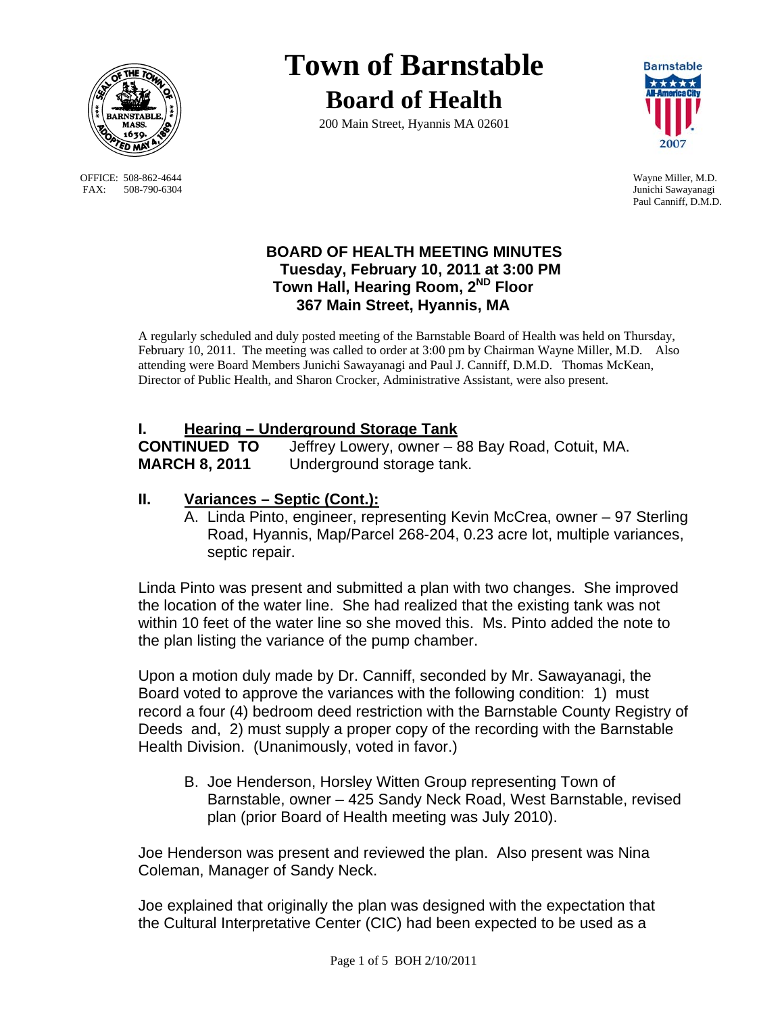

OFFICE: 508-862-4644 Wayne Miller, M.D.<br>
FAX: 508-790-6304 Junichi Sawayanagi FAX: 508-790-6304

# **Town of Barnstable Board of Health**

200 Main Street, Hyannis MA 02601



Paul Canniff, D.M.D.

### **BOARD OF HEALTH MEETING MINUTES Tuesday, February 10, 2011 at 3:00 PM Town Hall, Hearing Room, 2ND Floor 367 Main Street, Hyannis, MA**

A regularly scheduled and duly posted meeting of the Barnstable Board of Health was held on Thursday, February 10, 2011. The meeting was called to order at 3:00 pm by Chairman Wayne Miller, M.D. Also attending were Board Members Junichi Sawayanagi and Paul J. Canniff, D.M.D. Thomas McKean, Director of Public Health, and Sharon Crocker, Administrative Assistant, were also present.

# **I. Hearing – Underground Storage Tank**

**CONTINUED TO** Jeffrey Lowery, owner – 88 Bay Road, Cotuit, MA. **MARCH 8, 2011** Underground storage tank.

# **II. Variances – Septic (Cont.):**

A. Linda Pinto, engineer, representing Kevin McCrea, owner – 97 Sterling Road, Hyannis, Map/Parcel 268-204, 0.23 acre lot, multiple variances, septic repair.

Linda Pinto was present and submitted a plan with two changes. She improved the location of the water line. She had realized that the existing tank was not within 10 feet of the water line so she moved this. Ms. Pinto added the note to the plan listing the variance of the pump chamber.

Upon a motion duly made by Dr. Canniff, seconded by Mr. Sawayanagi, the Board voted to approve the variances with the following condition: 1) must record a four (4) bedroom deed restriction with the Barnstable County Registry of Deeds and, 2) must supply a proper copy of the recording with the Barnstable Health Division. (Unanimously, voted in favor.)

B. Joe Henderson, Horsley Witten Group representing Town of Barnstable, owner – 425 Sandy Neck Road, West Barnstable, revised plan (prior Board of Health meeting was July 2010).

Joe Henderson was present and reviewed the plan. Also present was Nina Coleman, Manager of Sandy Neck.

Joe explained that originally the plan was designed with the expectation that the Cultural Interpretative Center (CIC) had been expected to be used as a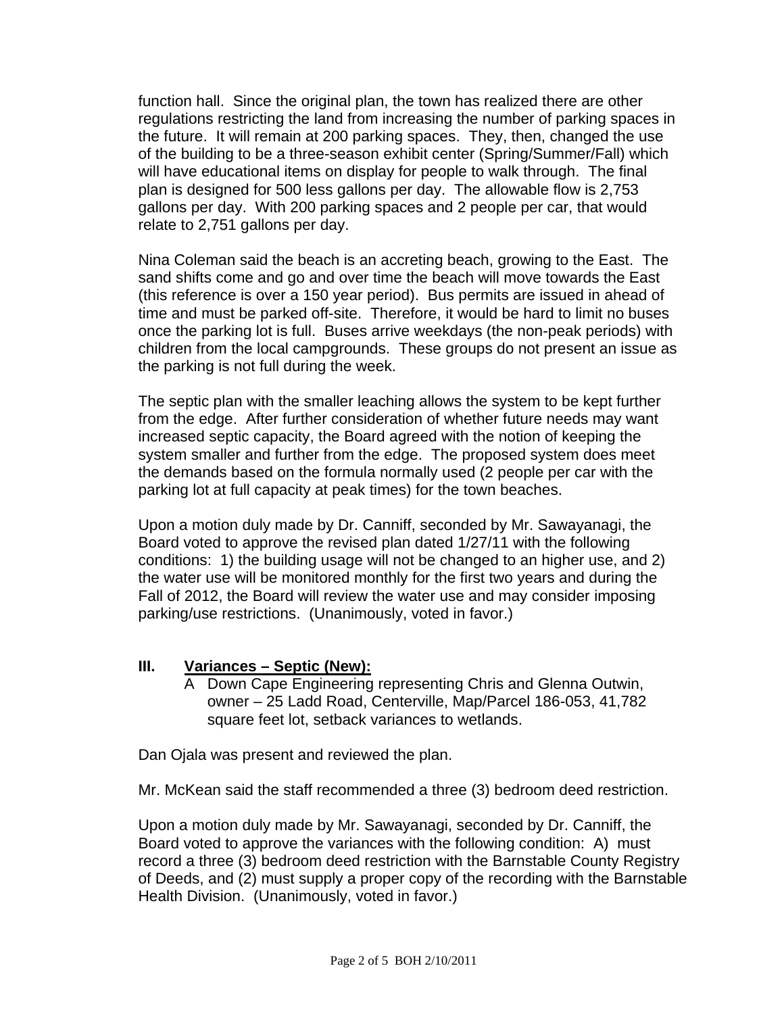function hall. Since the original plan, the town has realized there are other regulations restricting the land from increasing the number of parking spaces in the future. It will remain at 200 parking spaces. They, then, changed the use of the building to be a three-season exhibit center (Spring/Summer/Fall) which will have educational items on display for people to walk through. The final plan is designed for 500 less gallons per day. The allowable flow is 2,753 gallons per day. With 200 parking spaces and 2 people per car, that would relate to 2,751 gallons per day.

Nina Coleman said the beach is an accreting beach, growing to the East. The sand shifts come and go and over time the beach will move towards the East (this reference is over a 150 year period). Bus permits are issued in ahead of time and must be parked off-site. Therefore, it would be hard to limit no buses once the parking lot is full. Buses arrive weekdays (the non-peak periods) with children from the local campgrounds. These groups do not present an issue as the parking is not full during the week.

The septic plan with the smaller leaching allows the system to be kept further from the edge. After further consideration of whether future needs may want increased septic capacity, the Board agreed with the notion of keeping the system smaller and further from the edge. The proposed system does meet the demands based on the formula normally used (2 people per car with the parking lot at full capacity at peak times) for the town beaches.

Upon a motion duly made by Dr. Canniff, seconded by Mr. Sawayanagi, the Board voted to approve the revised plan dated 1/27/11 with the following conditions: 1) the building usage will not be changed to an higher use, and 2) the water use will be monitored monthly for the first two years and during the Fall of 2012, the Board will review the water use and may consider imposing parking/use restrictions. (Unanimously, voted in favor.)

#### **III. Variances – Septic (New):**

A Down Cape Engineering representing Chris and Glenna Outwin, owner – 25 Ladd Road, Centerville, Map/Parcel 186-053, 41,782 square feet lot, setback variances to wetlands.

Dan Ojala was present and reviewed the plan.

Mr. McKean said the staff recommended a three (3) bedroom deed restriction.

Upon a motion duly made by Mr. Sawayanagi, seconded by Dr. Canniff, the Board voted to approve the variances with the following condition: A) must record a three (3) bedroom deed restriction with the Barnstable County Registry of Deeds, and (2) must supply a proper copy of the recording with the Barnstable Health Division. (Unanimously, voted in favor.)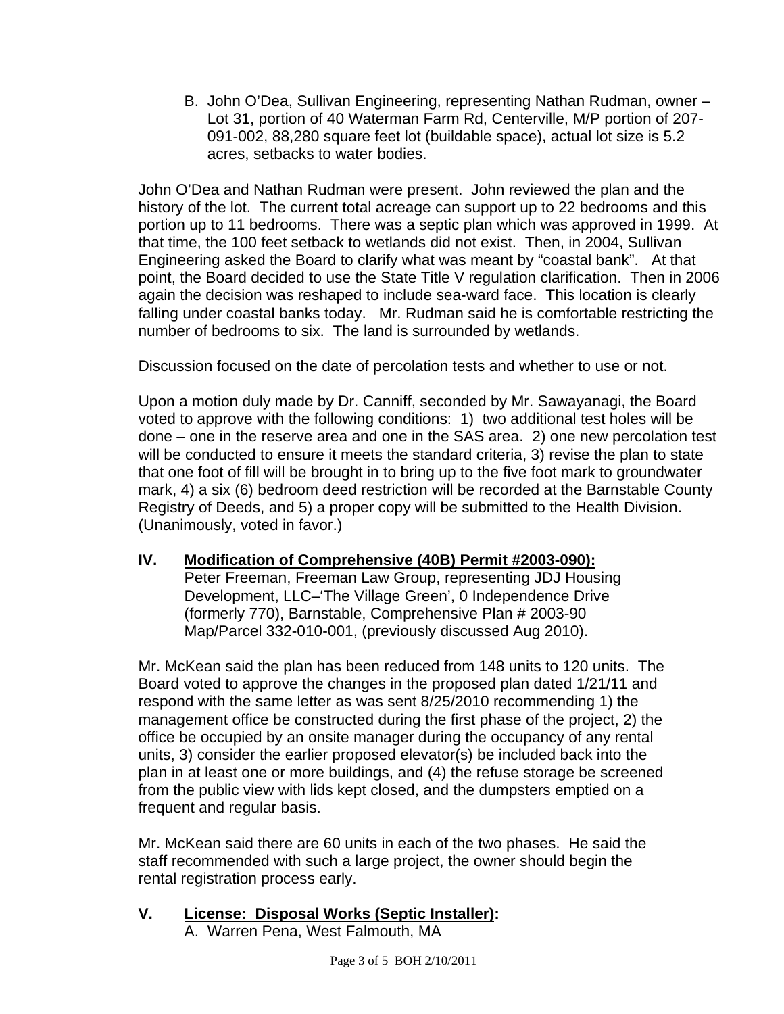B. John O'Dea, Sullivan Engineering, representing Nathan Rudman, owner – Lot 31, portion of 40 Waterman Farm Rd, Centerville, M/P portion of 207- 091-002, 88,280 square feet lot (buildable space), actual lot size is 5.2 acres, setbacks to water bodies.

John O'Dea and Nathan Rudman were present. John reviewed the plan and the history of the lot. The current total acreage can support up to 22 bedrooms and this portion up to 11 bedrooms. There was a septic plan which was approved in 1999. At that time, the 100 feet setback to wetlands did not exist. Then, in 2004, Sullivan Engineering asked the Board to clarify what was meant by "coastal bank". At that point, the Board decided to use the State Title V regulation clarification. Then in 2006 again the decision was reshaped to include sea-ward face. This location is clearly falling under coastal banks today. Mr. Rudman said he is comfortable restricting the number of bedrooms to six. The land is surrounded by wetlands.

Discussion focused on the date of percolation tests and whether to use or not.

Upon a motion duly made by Dr. Canniff, seconded by Mr. Sawayanagi, the Board voted to approve with the following conditions: 1) two additional test holes will be done – one in the reserve area and one in the SAS area. 2) one new percolation test will be conducted to ensure it meets the standard criteria, 3) revise the plan to state that one foot of fill will be brought in to bring up to the five foot mark to groundwater mark, 4) a six (6) bedroom deed restriction will be recorded at the Barnstable County Registry of Deeds, and 5) a proper copy will be submitted to the Health Division. (Unanimously, voted in favor.)

## **IV. Modification of Comprehensive (40B) Permit #2003-090):**

Peter Freeman, Freeman Law Group, representing JDJ Housing Development, LLC–'The Village Green', 0 Independence Drive (formerly 770), Barnstable, Comprehensive Plan # 2003-90 Map/Parcel 332-010-001, (previously discussed Aug 2010).

Mr. McKean said the plan has been reduced from 148 units to 120 units. The Board voted to approve the changes in the proposed plan dated 1/21/11 and respond with the same letter as was sent 8/25/2010 recommending 1) the management office be constructed during the first phase of the project, 2) the office be occupied by an onsite manager during the occupancy of any rental units, 3) consider the earlier proposed elevator(s) be included back into the plan in at least one or more buildings, and (4) the refuse storage be screened from the public view with lids kept closed, and the dumpsters emptied on a frequent and regular basis.

Mr. McKean said there are 60 units in each of the two phases. He said the staff recommended with such a large project, the owner should begin the rental registration process early.

## **V. License: Disposal Works (Septic Installer):**

A. Warren Pena, West Falmouth, MA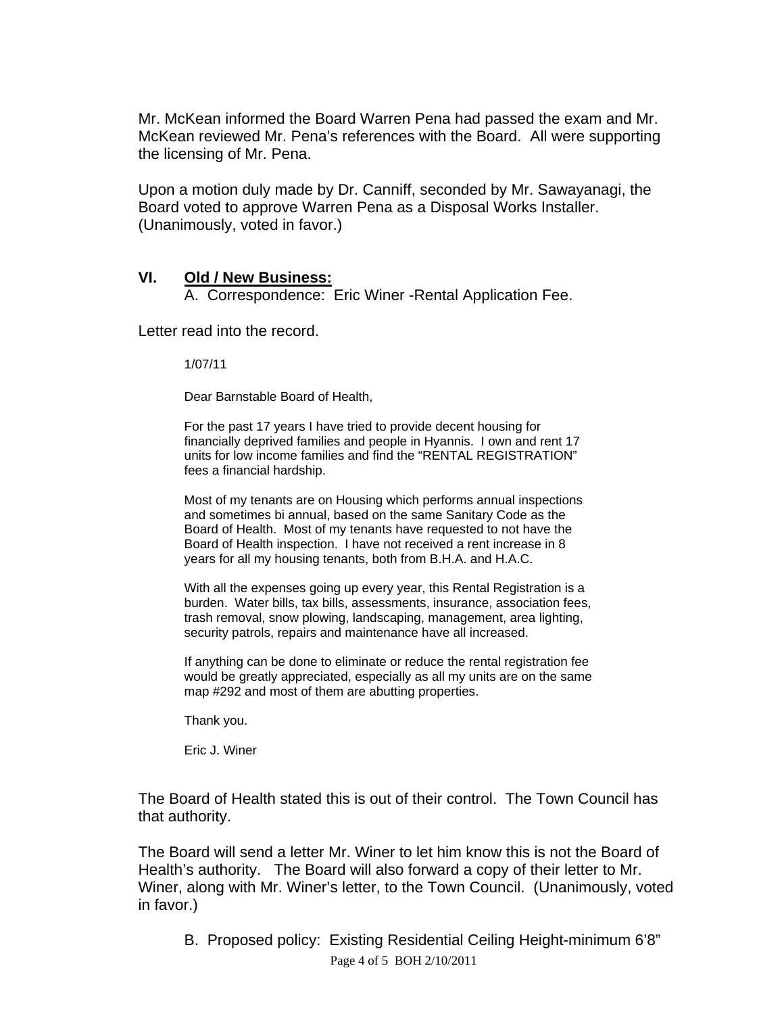Mr. McKean informed the Board Warren Pena had passed the exam and Mr. McKean reviewed Mr. Pena's references with the Board. All were supporting the licensing of Mr. Pena.

Upon a motion duly made by Dr. Canniff, seconded by Mr. Sawayanagi, the Board voted to approve Warren Pena as a Disposal Works Installer. (Unanimously, voted in favor.)

#### **VI. Old / New Business:**

A. Correspondence: Eric Winer -Rental Application Fee.

Letter read into the record.

1/07/11

Dear Barnstable Board of Health,

For the past 17 years I have tried to provide decent housing for financially deprived families and people in Hyannis. I own and rent 17 units for low income families and find the "RENTAL REGISTRATION" fees a financial hardship.

Most of my tenants are on Housing which performs annual inspections and sometimes bi annual, based on the same Sanitary Code as the Board of Health. Most of my tenants have requested to not have the Board of Health inspection. I have not received a rent increase in 8 years for all my housing tenants, both from B.H.A. and H.A.C.

With all the expenses going up every year, this Rental Registration is a burden. Water bills, tax bills, assessments, insurance, association fees, trash removal, snow plowing, landscaping, management, area lighting, security patrols, repairs and maintenance have all increased.

If anything can be done to eliminate or reduce the rental registration fee would be greatly appreciated, especially as all my units are on the same map #292 and most of them are abutting properties.

Thank you.

Eric J. Winer

The Board of Health stated this is out of their control. The Town Council has that authority.

The Board will send a letter Mr. Winer to let him know this is not the Board of Health's authority. The Board will also forward a copy of their letter to Mr. Winer, along with Mr. Winer's letter, to the Town Council. (Unanimously, voted in favor.)

 Page 4 of 5 BOH 2/10/2011 B. Proposed policy: Existing Residential Ceiling Height-minimum 6'8"